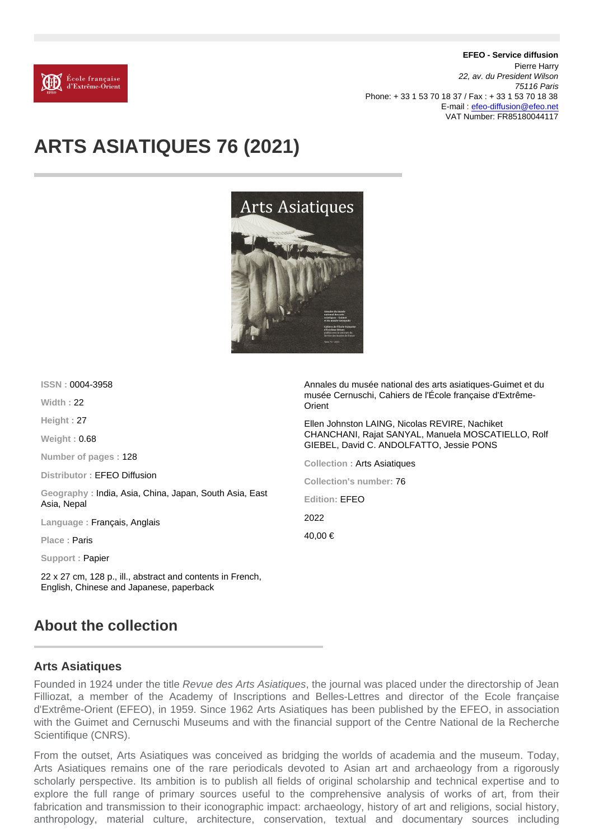EFEO - Service diffusion Pierre Harry 22, av. du President Wilson 75116 Paris Phone: + 33 1 53 70 18 37 / Fax : + 33 1 53 70 18 38 E-mail : [efeo-diffusion@efeo.net](mailto:efeo-diffusion@efeo.net) VAT Number: FR85180044117

## ARTS ASIATIQUES 76 (2021)

| ISSN: 0004-3958                                                       | Annales du musée national des arts asiatiques-Guimet et du                                     |
|-----------------------------------------------------------------------|------------------------------------------------------------------------------------------------|
| Width: $22$                                                           | musée Cernuschi, Cahiers de l'École française d'Extrême-<br>Orient                             |
| Height: 27                                                            | Ellen Johnston LAING, Nicolas REVIRE, Nachiket                                                 |
| Weight: $0.68$                                                        | CHANCHANI, Rajat SANYAL, Manuela MOSCATIELLO, Rolf<br>GIEBEL, David C. ANDOLFATTO, Jessie PONS |
| Number of pages: 128                                                  | Collection: Arts Asiatiques                                                                    |
| Distributor: <b>EFEO Diffusion</b>                                    | Collection's number: 76                                                                        |
| Geography: India, Asia, China, Japan, South Asia, East<br>Asia, Nepal | Edition: <b>EFEO</b>                                                                           |
| Language: Français, Anglais                                           | 2022                                                                                           |
| Place: <b>Paris</b>                                                   | 40,00 €                                                                                        |
| Support: <b>Papier</b>                                                |                                                                                                |
|                                                                       |                                                                                                |

22 x 27 cm, 128 p., ill., abstract and contents in French, English, Chinese and Japanese, paperback

## About the collection

## Arts Asiatiques

Founded in 1924 under the title Revue des Arts Asiatiques, the journal was placed under the directorship of Jean Filliozat, a member of the Academy of Inscriptions and Belles-Lettres and director of the Ecole française d'Extrême-Orient (EFEO), in 1959. Since 1962 Arts Asiatiques has been published by the EFEO, in association with the Guimet and Cernuschi Museums and with the financial support of the Centre National de la Recherche Scientifique (CNRS).

From the outset, Arts Asiatiques was conceived as bridging the worlds of academia and the museum. Today, Arts Asiatiques remains one of the rare periodicals devoted to Asian art and archaeology from a rigorously scholarly perspective. Its ambition is to publish all fields of original scholarship and technical expertise and to explore the full range of primary sources useful to the comprehensive analysis of works of art, from their fabrication and transmission to their iconographic impact: archaeology, history of art and religions, social history, anthropology, material culture, architecture, conservation, textual and documentary sources including